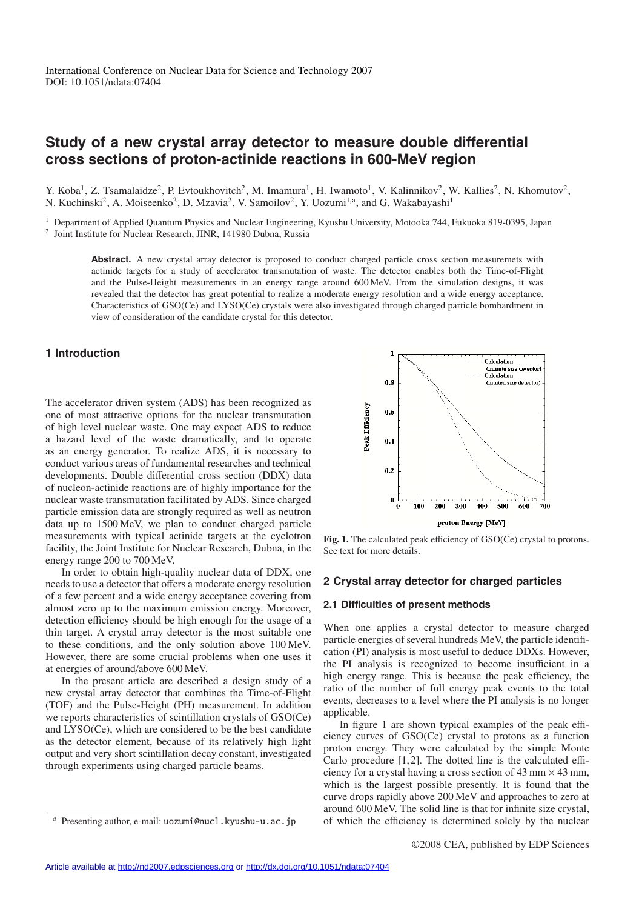# **Study of a new crystal array detector to measure double differential cross sections of proton-actinide reactions in 600-MeV region**

Y. Koba<sup>1</sup>, Z. Tsamalaidze<sup>2</sup>, P. Evtoukhovitch<sup>2</sup>, M. Imamura<sup>1</sup>, H. Iwamoto<sup>1</sup>, V. Kalinnikov<sup>2</sup>, W. Kallies<sup>2</sup>, N. Khomutov<sup>2</sup>, N. Kuchinski<sup>2</sup>, A. Moiseenko<sup>2</sup>, D. Mzavia<sup>2</sup>, V. Samoilov<sup>2</sup>, Y. Uozumi<sup>1,a</sup>, and G. Wakabayashi<sup>1</sup>

<sup>1</sup> Department of Applied Quantum Physics and Nuclear Engineering, Kyushu University, Motooka 744, Fukuoka 819-0395, Japan

<sup>2</sup> Joint Institute for Nuclear Research, JINR, 141980 Dubna, Russia

Abstract. A new crystal array detector is proposed to conduct charged particle cross section measuremets with actinide targets for a study of accelerator transmutation of waste. The detector enables both the Time-of-Flight and the Pulse-Height measurements in an energy range around 600 MeV. From the simulation designs, it was revealed that the detector has great potential to realize a moderate energy resolution and a wide energy acceptance. Characteristics of GSO(Ce) and LYSO(Ce) crystals were also investigated through charged particle bombardment in view of consideration of the candidate crystal for this detector.

# **1 Introduction**

The accelerator driven system (ADS) has been recognized as one of most attractive options for the nuclear transmutation of high level nuclear waste. One may expect ADS to reduce a hazard level of the waste dramatically, and to operate as an energy generator. To realize ADS, it is necessary to conduct various areas of fundamental researches and technical developments. Double differential cross section (DDX) data of nucleon-actinide reactions are of highly importance for the nuclear waste transmutation facilitated by ADS. Since charged particle emission data are strongly required as well as neutron data up to 1500 MeV, we plan to conduct charged particle measurements with typical actinide targets at the cyclotron facility, the Joint Institute for Nuclear Research, Dubna, in the energy range 200 to 700 MeV.

In order to obtain high-quality nuclear data of DDX, one needs to use a detector that offers a moderate energy resolution of a few percent and a wide energy acceptance covering from almost zero up to the maximum emission energy. Moreover, detection efficiency should be high enough for the usage of a thin target. A crystal array detector is the most suitable one to these conditions, and the only solution above 100 MeV. However, there are some crucial problems when one uses it at energies of around/above 600 MeV.

In the present article are described a design study of a new crystal array detector that combines the Time-of-Flight (TOF) and the Pulse-Height (PH) measurement. In addition we reports characteristics of scintillation crystals of GSO(Ce) and LYSO(Ce), which are considered to be the best candidate as the detector element, because of its relatively high light output and very short scintillation decay constant, investigated through experiments using charged particle beams.



**Fig. 1.** The calculated peak efficiency of GSO(Ce) crystal to protons. See text for more details.

## **2 Crystal array detector for charged particles**

#### **2.1 Difficulties of present methods**

When one applies a crystal detector to measure charged particle energies of several hundreds MeV, the particle identification (PI) analysis is most useful to deduce DDXs. However, the PI analysis is recognized to become insufficient in a high energy range. This is because the peak efficiency, the ratio of the number of full energy peak events to the total events, decreases to a level where the PI analysis is no longer applicable.

In figure 1 are shown typical examples of the peak efficiency curves of GSO(Ce) crystal to protons as a function proton energy. They were calculated by the simple Monte Carlo procedure  $[1, 2]$ . The dotted line is the calculated efficiency for a crystal having a cross section of  $43 \text{ mm} \times 43 \text{ mm}$ , which is the largest possible presently. It is found that the curve drops rapidly above 200 MeV and approaches to zero at around 600 MeV. The solid line is that for infinite size crystal, of which the efficiency is determined solely by the nuclear

Presenting author, e-mail: uozumi@nucl.kyushu-u.ac.jp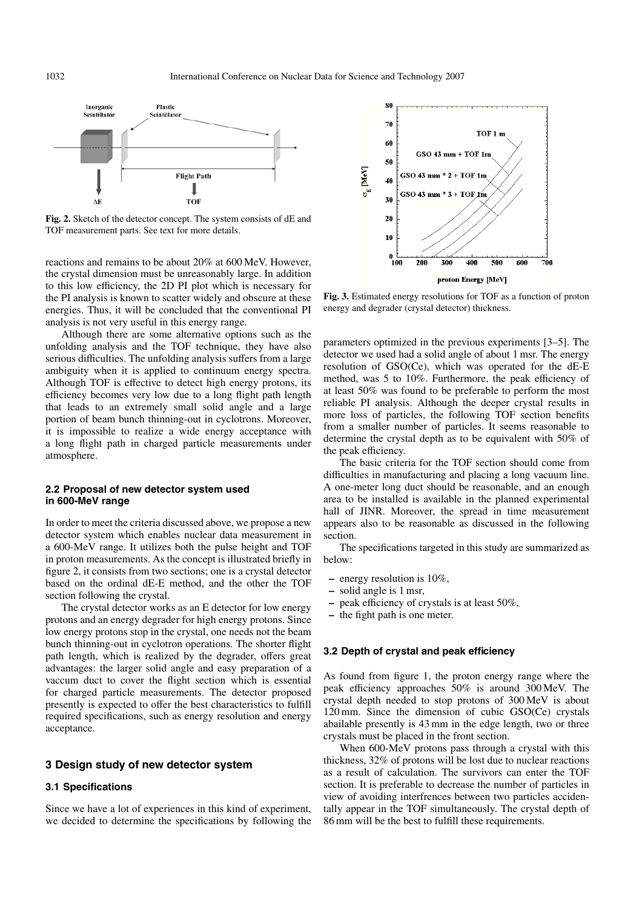

**Fig. 2.** Sketch of the detector concept. The system consists of dE and TOF measurement parts. See text for more details.

reactions and remains to be about 20% at 600 MeV. However, the crystal dimension must be unreasonably large. In addition to this low efficiency, the 2D PI plot which is necessary for the PI analysis is known to scatter widely and obscure at these energies. Thus, it will be concluded that the conventional PI analysis is not very useful in this energy range.

Although there are some alternative options such as the unfolding analysis and the TOF technique, they have also serious difficulties. The unfolding analysis suffers from a large ambiguity when it is applied to continuum energy spectra. Although TOF is effective to detect high energy protons, its efficiency becomes very low due to a long flight path length that leads to an extremely small solid angle and a large portion of beam bunch thinning-out in cyclotrons. Moreover, it is impossible to realize a wide energy acceptance with a long flight path in charged particle measurements under atmosphere.

## **2.2 Proposal of new detector system used in 600-MeV range**

In order to meet the criteria discussed above, we propose a new detector system which enables nuclear data measurement in a 600-MeV range. It utilizes both the pulse height and TOF in proton measurements. As the concept is illustrated briefly in figure 2, it consists from two sections; one is a crystal detector based on the ordinal dE-E method, and the other the TOF section following the crystal.

The crystal detector works as an E detector for low energy protons and an energy degrader for high energy protons. Since low energy protons stop in the crystal, one needs not the beam bunch thinning-out in cyclotron operations. The shorter flight path length, which is realized by the degrader, offers great advantages: the larger solid angle and easy preparation of a vaccum duct to cover the flight section which is essential for charged particle measurements. The detector proposed presently is expected to offer the best characteristics to fulfill required specifications, such as energy resolution and energy acceptance.

## **3 Design study of new detector system**

#### **3.1 Specifications**

Since we have a lot of experiences in this kind of experiment, we decided to determine the specifications by following the



**Fig. 3.** Estimated energy resolutions for TOF as a function of proton energy and degrader (crystal detector) thickness.

parameters optimized in the previous experiments [3–5]. The detector we used had a solid angle of about 1 msr. The energy resolution of GSO(Ce), which was operated for the dE-E method, was 5 to 10%. Furthermore, the peak efficiency of at least 50% was found to be preferable to perform the most reliable PI analysis. Although the deeper crystal results in more loss of particles, the following TOF section benefits from a smaller number of particles. It seems reasonable to determine the crystal depth as to be equivalent with 50% of the peak efficiency.

The basic criteria for the TOF section should come from difficulties in manufacturing and placing a long vacuum line. A one-meter long duct should be reasonable, and an enough area to be installed is available in the planned experimental hall of JINR. Moreover, the spread in time measurement appears also to be reasonable as discussed in the following section.

The specifications targeted in this study are summarized as below:

- **–** energy resolution is 10%,
- **–** solid angle is 1 msr,
- **–** peak efficiency of crystals is at least 50%,
- **–** the fight path is one meter.

#### **3.2 Depth of crystal and peak efficiency**

As found from figure 1, the proton energy range where the peak efficiency approaches 50% is around 300 MeV. The crystal depth needed to stop protons of 300 MeV is about 120 mm. Since the dimension of cubic GSO(Ce) crystals abailable presently is 43 mm in the edge length, two or three crystals must be placed in the front section.

When 600-MeV protons pass through a crystal with this thickness, 32% of protons will be lost due to nuclear reactions as a result of calculation. The survivors can enter the TOF section. It is preferable to decrease the number of particles in view of avoiding interfrences between two particles accidentally appear in the TOF simultaneously. The crystal depth of 86 mm will be the best to fulfill these requirements.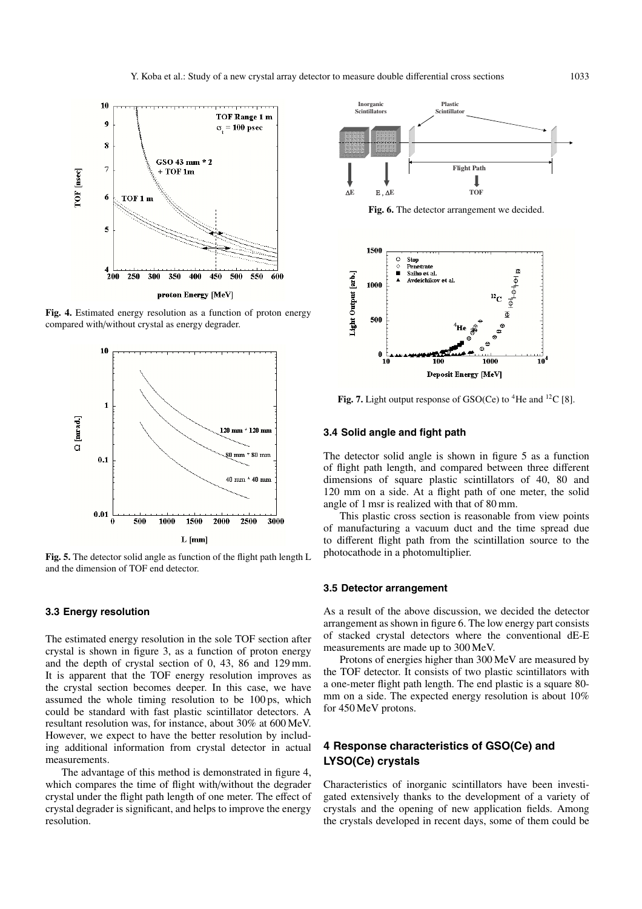

**Fig. 4.** Estimated energy resolution as a function of proton energy compared with/without crystal as energy degrader.



**Fig. 5.** The detector solid angle as function of the flight path length L and the dimension of TOF end detector.

## **3.3 Energy resolution**

The estimated energy resolution in the sole TOF section after crystal is shown in figure 3, as a function of proton energy and the depth of crystal section of 0, 43, 86 and 129 mm. It is apparent that the TOF energy resolution improves as the crystal section becomes deeper. In this case, we have assumed the whole timing resolution to be 100 ps, which could be standard with fast plastic scintillator detectors. A resultant resolution was, for instance, about 30% at 600 MeV. However, we expect to have the better resolution by including additional information from crystal detector in actual measurements.

The advantage of this method is demonstrated in figure 4, which compares the time of flight with/without the degrader crystal under the flight path length of one meter. The effect of crystal degrader is significant, and helps to improve the energy resolution.



**Fig. 6.** The detector arrangement we decided.



Fig. 7. Light output response of GSO(Ce) to <sup>4</sup>He and <sup>12</sup>C [8].

## **3.4 Solid angle and fight path**

The detector solid angle is shown in figure 5 as a function of flight path length, and compared between three different dimensions of square plastic scintillators of 40, 80 and 120 mm on a side. At a flight path of one meter, the solid angle of 1 msr is realized with that of 80 mm.

This plastic cross section is reasonable from view points of manufacturing a vacuum duct and the time spread due to different flight path from the scintillation source to the photocathode in a photomultiplier.

## **3.5 Detector arrangement**

As a result of the above discussion, we decided the detector arrangement as shown in figure 6. The low energy part consists of stacked crystal detectors where the conventional dE-E measurements are made up to 300 MeV.

Protons of energies higher than 300 MeV are measured by the TOF detector. It consists of two plastic scintillators with a one-meter flight path length. The end plastic is a square 80 mm on a side. The expected energy resolution is about 10% for 450 MeV protons.

# **4 Response characteristics of GSO(Ce) and LYSO(Ce) crystals**

Characteristics of inorganic scintillators have been investigated extensively thanks to the development of a variety of crystals and the opening of new application fields. Among the crystals developed in recent days, some of them could be